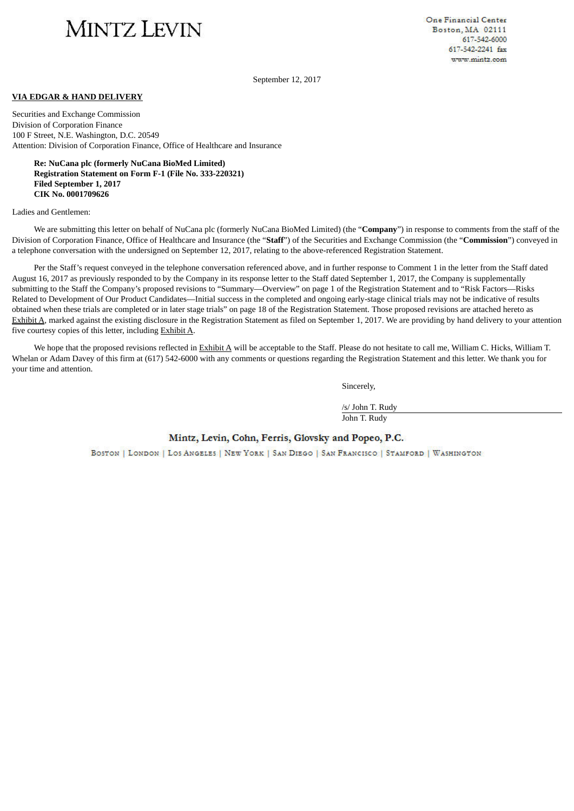# MINTZ LEVIN

One Financial Center Boston, MA 02111 617-542-6000 617-542-2241 fax www.mintz.com

September 12, 2017

#### **VIA EDGAR & HAND DELIVERY**

Securities and Exchange Commission Division of Corporation Finance 100 F Street, N.E. Washington, D.C. 20549 Attention: Division of Corporation Finance, Office of Healthcare and Insurance

**Re: NuCana plc (formerly NuCana BioMed Limited) Registration Statement on Form F-1 (File No. 333-220321) Filed September 1, 2017 CIK No. 0001709626**

Ladies and Gentlemen:

We are submitting this letter on behalf of NuCana plc (formerly NuCana BioMed Limited) (the "**Company**") in response to comments from the staff of the Division of Corporation Finance, Office of Healthcare and Insurance (the "**Staff**") of the Securities and Exchange Commission (the "**Commission**") conveyed in a telephone conversation with the undersigned on September 12, 2017, relating to the above-referenced Registration Statement.

Per the Staff's request conveyed in the telephone conversation referenced above, and in further response to Comment 1 in the letter from the Staff dated August 16, 2017 as previously responded to by the Company in its response letter to the Staff dated September 1, 2017, the Company is supplementally submitting to the Staff the Company's proposed revisions to "Summary—Overview" on page 1 of the Registration Statement and to "Risk Factors—Risks Related to Development of Our Product Candidates—Initial success in the completed and ongoing early-stage clinical trials may not be indicative of results obtained when these trials are completed or in later stage trials" on page 18 of the Registration Statement. Those proposed revisions are attached hereto as Exhibit A, marked against the existing disclosure in the Registration Statement as filed on September 1, 2017. We are providing by hand delivery to your attention five courtesy copies of this letter, including Exhibit A.

We hope that the proposed revisions reflected in Exhibit A will be acceptable to the Staff. Please do not hesitate to call me, William C. Hicks, William T. Whelan or Adam Davey of this firm at (617) 542-6000 with any comments or questions regarding the Registration Statement and this letter. We thank you for your time and attention.

Sincerely,

/s/ John T. Rudy John T. Rudy

## Mintz, Levin, Cohn, Ferris, Glovsky and Popeo, P.C.

BOSTON | LONDON | LOS ANGELES | NEW YORK | SAN DIEGO | SAN FRANCISCO | STAMFORD | WASHINGTON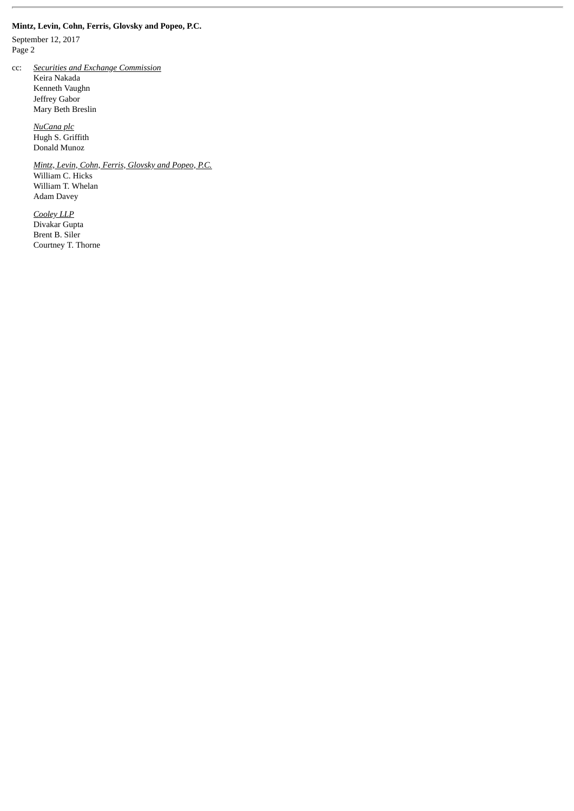## **Mintz, Levin, Cohn, Ferris, Glovsky and Popeo, P.C.**

September 12, 2017 Page 2

cc: *Securities and Exchange Commission*

 Keira Nakada Kenneth Vaughn Jeffrey Gabor Mary Beth Breslin

 *NuCana plc* Hugh S. Griffith Donald Munoz

> *Mintz, Levin, Cohn, Ferris, Glovsky and Popeo, P.C.* William C. Hicks William T. Whelan Adam Davey

 *Cooley LLP* Divakar Gupta Brent B. Siler Courtney T. Thorne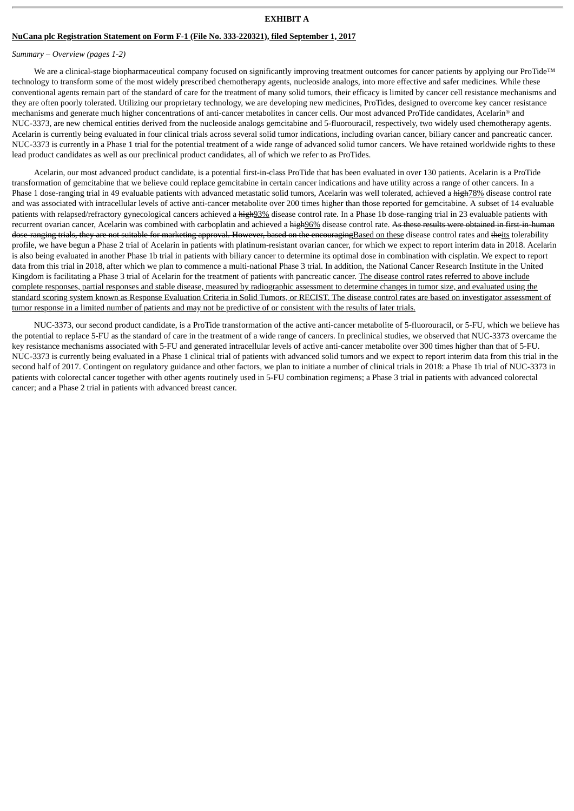#### **EXHIBIT A**

## **NuCana plc Registration Statement on Form F-1 (File No. 333-220321), filed September 1, 2017**

#### *Summary – Overview (pages 1-2)*

We are a clinical-stage biopharmaceutical company focused on significantly improving treatment outcomes for cancer patients by applying our ProTide™ technology to transform some of the most widely prescribed chemotherapy agents, nucleoside analogs, into more effective and safer medicines. While these conventional agents remain part of the standard of care for the treatment of many solid tumors, their efficacy is limited by cancer cell resistance mechanisms and they are often poorly tolerated. Utilizing our proprietary technology, we are developing new medicines, ProTides, designed to overcome key cancer resistance mechanisms and generate much higher concentrations of anti-cancer metabolites in cancer cells. Our most advanced ProTide candidates, Acelarin® and NUC-3373, are new chemical entities derived from the nucleoside analogs gemcitabine and 5-fluorouracil, respectively, two widely used chemotherapy agents. Acelarin is currently being evaluated in four clinical trials across several solid tumor indications, including ovarian cancer, biliary cancer and pancreatic cancer. NUC-3373 is currently in a Phase 1 trial for the potential treatment of a wide range of advanced solid tumor cancers. We have retained worldwide rights to these lead product candidates as well as our preclinical product candidates, all of which we refer to as ProTides.

Acelarin, our most advanced product candidate, is a potential first-in-class ProTide that has been evaluated in over 130 patients. Acelarin is a ProTide transformation of gemcitabine that we believe could replace gemcitabine in certain cancer indications and have utility across a range of other cancers. In a Phase 1 dose-ranging trial in 49 evaluable patients with advanced metastatic solid tumors, Acelarin was well tolerated, achieved a high78% disease control rate and was associated with intracellular levels of active anti-cancer metabolite over 200 times higher than those reported for gemcitabine. A subset of 14 evaluable patients with relapsed/refractory gynecological cancers achieved a  $\frac{h}{2}$  disease control rate. In a Phase 1b dose-ranging trial in 23 evaluable patients with recurrent ovarian cancer, Acelarin was combined with carboplatin and achieved a high96% disease control rate. As these results were obtained in first-in-human dose-ranging trials, they are not suitable for marketing approval. However, based on the encouragingBased on these disease control rates and theits tolerability profile, we have begun a Phase 2 trial of Acelarin in patients with platinum-resistant ovarian cancer, for which we expect to report interim data in 2018. Acelarin is also being evaluated in another Phase 1b trial in patients with biliary cancer to determine its optimal dose in combination with cisplatin. We expect to report data from this trial in 2018, after which we plan to commence a multi-national Phase 3 trial. In addition, the National Cancer Research Institute in the United Kingdom is facilitating a Phase 3 trial of Acelarin for the treatment of patients with pancreatic cancer. The disease control rates referred to above include complete responses, partial responses and stable disease, measured by radiographic assessment to determine changes in tumor size, and evaluated using the standard scoring system known as Response Evaluation Criteria in Solid Tumors, or RECIST. The disease control rates are based on investigator assessment of tumor response in a limited number of patients and may not be predictive of or consistent with the results of later trials.

NUC-3373, our second product candidate, is a ProTide transformation of the active anti-cancer metabolite of 5-fluorouracil, or 5-FU, which we believe has the potential to replace 5-FU as the standard of care in the treatment of a wide range of cancers. In preclinical studies, we observed that NUC-3373 overcame the key resistance mechanisms associated with 5-FU and generated intracellular levels of active anti-cancer metabolite over 300 times higher than that of 5-FU. NUC-3373 is currently being evaluated in a Phase 1 clinical trial of patients with advanced solid tumors and we expect to report interim data from this trial in the second half of 2017. Contingent on regulatory guidance and other factors, we plan to initiate a number of clinical trials in 2018: a Phase 1b trial of NUC-3373 in patients with colorectal cancer together with other agents routinely used in 5-FU combination regimens; a Phase 3 trial in patients with advanced colorectal cancer; and a Phase 2 trial in patients with advanced breast cancer.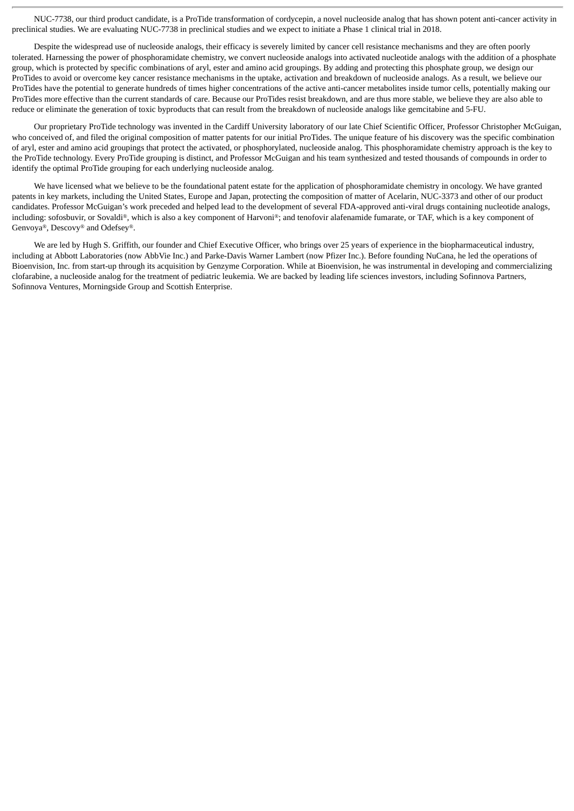NUC-7738, our third product candidate, is a ProTide transformation of cordycepin, a novel nucleoside analog that has shown potent anti-cancer activity in preclinical studies. We are evaluating NUC-7738 in preclinical studies and we expect to initiate a Phase 1 clinical trial in 2018.

Despite the widespread use of nucleoside analogs, their efficacy is severely limited by cancer cell resistance mechanisms and they are often poorly tolerated. Harnessing the power of phosphoramidate chemistry, we convert nucleoside analogs into activated nucleotide analogs with the addition of a phosphate group, which is protected by specific combinations of aryl, ester and amino acid groupings. By adding and protecting this phosphate group, we design our ProTides to avoid or overcome key cancer resistance mechanisms in the uptake, activation and breakdown of nucleoside analogs. As a result, we believe our ProTides have the potential to generate hundreds of times higher concentrations of the active anti-cancer metabolites inside tumor cells, potentially making our ProTides more effective than the current standards of care. Because our ProTides resist breakdown, and are thus more stable, we believe they are also able to reduce or eliminate the generation of toxic byproducts that can result from the breakdown of nucleoside analogs like gemcitabine and 5-FU.

Our proprietary ProTide technology was invented in the Cardiff University laboratory of our late Chief Scientific Officer, Professor Christopher McGuigan, who conceived of, and filed the original composition of matter patents for our initial ProTides. The unique feature of his discovery was the specific combination of aryl, ester and amino acid groupings that protect the activated, or phosphorylated, nucleoside analog. This phosphoramidate chemistry approach is the key to the ProTide technology. Every ProTide grouping is distinct, and Professor McGuigan and his team synthesized and tested thousands of compounds in order to identify the optimal ProTide grouping for each underlying nucleoside analog.

We have licensed what we believe to be the foundational patent estate for the application of phosphoramidate chemistry in oncology. We have granted patents in key markets, including the United States, Europe and Japan, protecting the composition of matter of Acelarin, NUC-3373 and other of our product candidates. Professor McGuigan's work preceded and helped lead to the development of several FDA-approved anti-viral drugs containing nucleotide analogs, including: sofosbuvir, or Sovaldi®, which is also a key component of Harvoni®; and tenofovir alafenamide fumarate, or TAF, which is a key component of Genvoya®, Descovy® and Odefsey®.

We are led by Hugh S. Griffith, our founder and Chief Executive Officer, who brings over 25 years of experience in the biopharmaceutical industry, including at Abbott Laboratories (now AbbVie Inc.) and Parke-Davis Warner Lambert (now Pfizer Inc.). Before founding NuCana, he led the operations of Bioenvision, Inc. from start-up through its acquisition by Genzyme Corporation. While at Bioenvision, he was instrumental in developing and commercializing clofarabine, a nucleoside analog for the treatment of pediatric leukemia. We are backed by leading life sciences investors, including Sofinnova Partners, Sofinnova Ventures, Morningside Group and Scottish Enterprise.